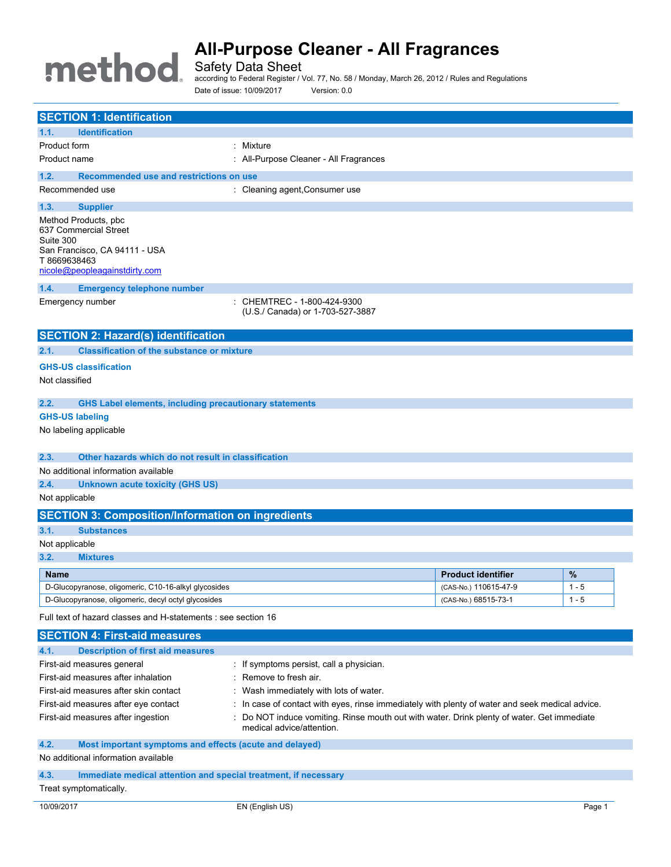# method

# **All-Purpose Cleaner - All Fragrances**

Safety Data Sheet

according to Federal Register / Vol. 77, No. 58 / Monday, March 26, 2012 / Rules and Regulations Date of issue: 10/09/2017 Version: 0.0

| <b>SECTION 1: Identification</b>                                                            |                                                                                                 |  |
|---------------------------------------------------------------------------------------------|-------------------------------------------------------------------------------------------------|--|
| 1.1.<br><b>Identification</b>                                                               |                                                                                                 |  |
| Product form<br>: Mixture                                                                   |                                                                                                 |  |
| Product name<br>: All-Purpose Cleaner - All Fragrances                                      |                                                                                                 |  |
| Recommended use and restrictions on use<br>1.2.                                             |                                                                                                 |  |
| Recommended use<br>: Cleaning agent, Consumer use                                           |                                                                                                 |  |
| 1.3.<br><b>Supplier</b>                                                                     |                                                                                                 |  |
| Method Products, pbc<br>637 Commercial Street<br>Suite 300<br>San Francisco, CA 94111 - USA |                                                                                                 |  |
| T8669638463<br>nicole@peopleagainstdirty.com                                                |                                                                                                 |  |
| 1.4.<br><b>Emergency telephone number</b>                                                   |                                                                                                 |  |
| : CHEMTREC - 1-800-424-9300<br>Emergency number<br>(U.S./ Canada) or 1-703-527-3887         |                                                                                                 |  |
| <b>SECTION 2: Hazard(s) identification</b>                                                  |                                                                                                 |  |
| <b>Classification of the substance or mixture</b><br>2.1.                                   |                                                                                                 |  |
| <b>GHS-US classification</b>                                                                |                                                                                                 |  |
| Not classified                                                                              |                                                                                                 |  |
|                                                                                             |                                                                                                 |  |
| 2.2.<br><b>GHS Label elements, including precautionary statements</b>                       |                                                                                                 |  |
| <b>GHS-US labeling</b>                                                                      |                                                                                                 |  |
| No labeling applicable                                                                      |                                                                                                 |  |
|                                                                                             |                                                                                                 |  |
| 2.3.<br>Other hazards which do not result in classification                                 |                                                                                                 |  |
| No additional information available                                                         |                                                                                                 |  |
| 2.4.<br><b>Unknown acute toxicity (GHS US)</b>                                              |                                                                                                 |  |
| Not applicable                                                                              |                                                                                                 |  |
| <b>SECTION 3: Composition/Information on ingredients</b>                                    |                                                                                                 |  |
| 3.1.<br><b>Substances</b>                                                                   |                                                                                                 |  |
| Not applicable                                                                              |                                                                                                 |  |
| 3.2.<br><b>Mixtures</b>                                                                     |                                                                                                 |  |
| Name                                                                                        | %<br><b>Product identifier</b>                                                                  |  |
| D-Glucopyranose, oligomeric, C10-16-alkyl glycosides                                        | (CAS-No.) 110615-47-9<br>$1 - 5$                                                                |  |
| D-Glucopyranose, oligomeric, decyl octyl glycosides                                         | (CAS-No.) 68515-73-1<br>$1 - 5$                                                                 |  |
| Full text of hazard classes and H-statements : see section 16                               |                                                                                                 |  |
| <b>SECTION 4: First-aid measures</b>                                                        |                                                                                                 |  |
| 4.1.<br><b>Description of first aid measures</b>                                            |                                                                                                 |  |
| First-aid measures general<br>: If symptoms persist, call a physician.                      |                                                                                                 |  |
| First-aid measures after inhalation<br>Remove to fresh air.                                 |                                                                                                 |  |
| First-aid measures after skin contact<br>Wash immediately with lots of water.               |                                                                                                 |  |
| First-aid measures after eye contact                                                        | : In case of contact with eyes, rinse immediately with plenty of water and seek medical advice. |  |
| First-aid measures after ingestion<br>medical advice/attention.                             | Do NOT induce vomiting. Rinse mouth out with water. Drink plenty of water. Get immediate        |  |
| 4.2.<br>Most important symptoms and effects (acute and delayed)                             |                                                                                                 |  |
| No additional information available                                                         |                                                                                                 |  |
| Immediate medical attention and special treatment, if necessary<br>4.3.                     |                                                                                                 |  |

Treat symptomatically.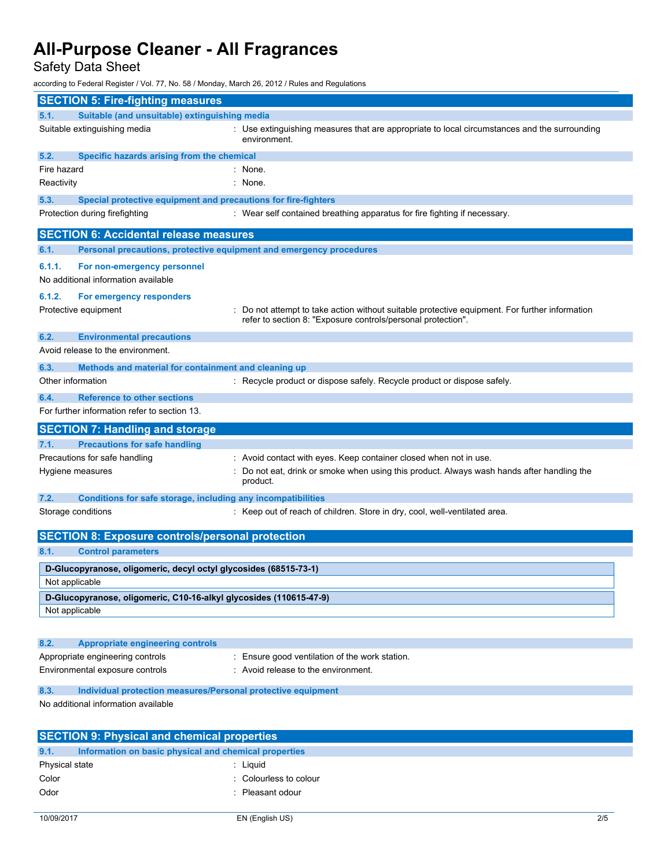Safety Data Sheet

according to Federal Register / Vol. 77, No. 58 / Monday, March 26, 2012 / Rules and Regulations

|             | <b>SECTION 5: Fire-fighting measures</b>                                             |                                                                                                                                                              |  |
|-------------|--------------------------------------------------------------------------------------|--------------------------------------------------------------------------------------------------------------------------------------------------------------|--|
| 5.1.        | Suitable (and unsuitable) extinguishing media                                        |                                                                                                                                                              |  |
|             | Suitable extinguishing media                                                         | : Use extinguishing measures that are appropriate to local circumstances and the surrounding<br>environment.                                                 |  |
| 5.2.        | Specific hazards arising from the chemical                                           |                                                                                                                                                              |  |
| Fire hazard |                                                                                      | : None.                                                                                                                                                      |  |
| Reactivity  |                                                                                      | : None.                                                                                                                                                      |  |
| 5.3.        | Special protective equipment and precautions for fire-fighters                       |                                                                                                                                                              |  |
|             | Protection during firefighting                                                       | : Wear self contained breathing apparatus for fire fighting if necessary.                                                                                    |  |
|             | <b>SECTION 6: Accidental release measures</b>                                        |                                                                                                                                                              |  |
| 6.1.        | Personal precautions, protective equipment and emergency procedures                  |                                                                                                                                                              |  |
| 6.1.1.      | For non-emergency personnel<br>No additional information available                   |                                                                                                                                                              |  |
| 6.1.2.      | For emergency responders                                                             |                                                                                                                                                              |  |
|             | Protective equipment                                                                 | Do not attempt to take action without suitable protective equipment. For further information<br>refer to section 8: "Exposure controls/personal protection". |  |
| 6.2.        | <b>Environmental precautions</b><br>Avoid release to the environment.                |                                                                                                                                                              |  |
| 6.3.        | Methods and material for containment and cleaning up                                 |                                                                                                                                                              |  |
|             | Other information                                                                    | : Recycle product or dispose safely. Recycle product or dispose safely.                                                                                      |  |
| 6.4.        | <b>Reference to other sections</b>                                                   |                                                                                                                                                              |  |
|             | For further information refer to section 13.                                         |                                                                                                                                                              |  |
|             |                                                                                      |                                                                                                                                                              |  |
|             | <b>SECTION 7: Handling and storage</b>                                               |                                                                                                                                                              |  |
| 7.1.        | <b>Precautions for safe handling</b>                                                 |                                                                                                                                                              |  |
|             | Precautions for safe handling                                                        | : Avoid contact with eyes. Keep container closed when not in use.                                                                                            |  |
|             | Hygiene measures                                                                     | Do not eat, drink or smoke when using this product. Always wash hands after handling the<br>product.                                                         |  |
| 7.2.        | Conditions for safe storage, including any incompatibilities                         |                                                                                                                                                              |  |
|             | Storage conditions                                                                   | : Keep out of reach of children. Store in dry, cool, well-ventilated area.                                                                                   |  |
|             | <b>SECTION 8: Exposure controls/personal protection</b>                              |                                                                                                                                                              |  |
| 8.1.        | <b>Control parameters</b>                                                            |                                                                                                                                                              |  |
|             | D-Glucopyranose, oligomeric, decyl octyl glycosides (68515-73-1)<br>Not applicable   |                                                                                                                                                              |  |
|             |                                                                                      |                                                                                                                                                              |  |
|             | D-Glucopyranose, oligomeric, C10-16-alkyl glycosides (110615-47-9)<br>Not applicable |                                                                                                                                                              |  |
|             |                                                                                      |                                                                                                                                                              |  |
| 8.2.        | <b>Appropriate engineering controls</b>                                              |                                                                                                                                                              |  |
|             | Appropriate engineering controls<br>Environmental exposure controls                  | Ensure good ventilation of the work station.<br>: Avoid release to the environment.                                                                          |  |
| 8.3.        | Individual protection measures/Personal protective equipment                         |                                                                                                                                                              |  |
|             | No additional information available                                                  |                                                                                                                                                              |  |
|             | <b>SECTION 9: Physical and chemical properties</b>                                   |                                                                                                                                                              |  |
| 9.1.        | Information on basic physical and chemical properties                                |                                                                                                                                                              |  |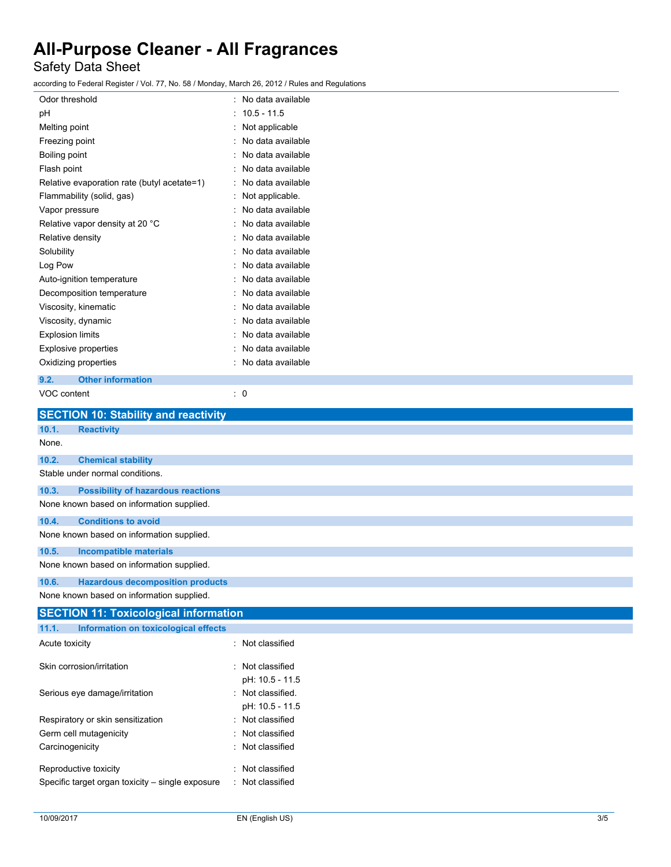## Safety Data Sheet

according to Federal Register / Vol. 77, No. 58 / Monday, March 26, 2012 / Rules and Regulations

| Odor threshold                                     | No data available |
|----------------------------------------------------|-------------------|
| рH                                                 | $10.5 - 11.5$     |
| Melting point                                      | Not applicable    |
| Freezing point                                     | No data available |
| Boiling point                                      | No data available |
| Flash point                                        | No data available |
| Relative evaporation rate (butyl acetate=1)        | No data available |
| Flammability (solid, gas)                          | Not applicable.   |
| Vapor pressure                                     | No data available |
| Relative vapor density at 20 °C                    | No data available |
| Relative density                                   | No data available |
| Solubility                                         | No data available |
| Log Pow                                            | No data available |
| Auto-ignition temperature                          | No data available |
| Decomposition temperature                          | No data available |
| Viscosity, kinematic                               | No data available |
| Viscosity, dynamic                                 | No data available |
| <b>Explosion limits</b>                            | No data available |
| <b>Explosive properties</b>                        | No data available |
| Oxidizing properties                               | No data available |
| 9.2.<br><b>Other information</b>                   |                   |
| VOC content                                        | : 0               |
| <b>SECTION 10: Stability and reactivity</b>        |                   |
| 10.1.<br><b>Reactivity</b>                         |                   |
| None.                                              |                   |
| 10.2.<br><b>Chemical stability</b>                 |                   |
| Stable under normal conditions.                    |                   |
| 10.3.<br><b>Possibility of hazardous reactions</b> |                   |
| None known based on information supplied.          |                   |
| 10.4.<br><b>Conditions to avoid</b>                |                   |
| None known based on information supplied.          |                   |

| None known based on information supplied. |                                           |  |
|-------------------------------------------|-------------------------------------------|--|
| 10.5.<br>Incompatible materials           |                                           |  |
|                                           | None known based on information supplied. |  |
| 10.6.                                     | <b>Hazardous decomposition products</b>   |  |

None known based on information supplied.

| <b>SECTION 11: Toxicological information</b>     |                   |  |  |
|--------------------------------------------------|-------------------|--|--|
| 11.1.<br>Information on toxicological effects    |                   |  |  |
| Acute toxicity                                   | : Not classified  |  |  |
| Skin corrosion/irritation                        | : Not classified  |  |  |
|                                                  | pH: 10.5 - 11.5   |  |  |
| Serious eye damage/irritation                    | : Not classified. |  |  |
|                                                  | pH: 10.5 - 11.5   |  |  |
| Respiratory or skin sensitization                | : Not classified  |  |  |
| Germ cell mutagenicity                           | : Not classified  |  |  |
| Carcinogenicity                                  | : Not classified  |  |  |
| Reproductive toxicity                            | : Not classified  |  |  |
| Specific target organ toxicity – single exposure | : Not classified  |  |  |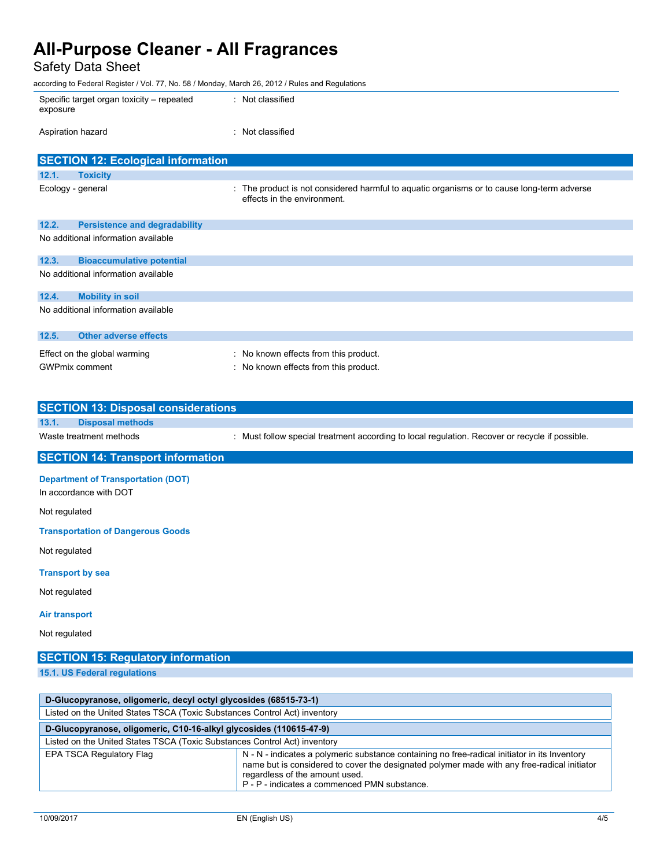Safety Data Sheet

according to Federal Register / Vol. 77, No. 58 / Monday, March 26, 2012 / Rules and Regulations

| according to Federal Register / Vol. 77, No. 58 / Monday, March 26, 2012 / Rules and Regulations |                                           |                                                                                                                           |
|--------------------------------------------------------------------------------------------------|-------------------------------------------|---------------------------------------------------------------------------------------------------------------------------|
| exposure                                                                                         | Specific target organ toxicity – repeated | : Not classified                                                                                                          |
| Aspiration hazard                                                                                |                                           | : Not classified                                                                                                          |
|                                                                                                  | <b>SECTION 12: Ecological information</b> |                                                                                                                           |
| 12.1.                                                                                            | <b>Toxicity</b>                           |                                                                                                                           |
| Ecology - general                                                                                |                                           | : The product is not considered harmful to aguatic organisms or to cause long-term adverse<br>effects in the environment. |
| 12.2.                                                                                            | <b>Persistence and degradability</b>      |                                                                                                                           |
|                                                                                                  | No additional information available       |                                                                                                                           |
| 12.3.                                                                                            | <b>Bioaccumulative potential</b>          |                                                                                                                           |
|                                                                                                  | No additional information available       |                                                                                                                           |
| 12.4.                                                                                            | <b>Mobility in soil</b>                   |                                                                                                                           |
|                                                                                                  | No additional information available       |                                                                                                                           |

| 12.5.                 | Other adverse effects        |                                       |
|-----------------------|------------------------------|---------------------------------------|
|                       | Effect on the global warming | : No known effects from this product. |
| <b>GWPmix comment</b> |                              | No known effects from this product.   |

| <b>SECTION 13: Disposal considerations</b>                          |                                                                                                |  |  |
|---------------------------------------------------------------------|------------------------------------------------------------------------------------------------|--|--|
| 13.1.<br><b>Disposal methods</b>                                    |                                                                                                |  |  |
| Waste treatment methods                                             | : Must follow special treatment according to local regulation. Recover or recycle if possible. |  |  |
| <b>SECTION 14: Transport information</b>                            |                                                                                                |  |  |
| <b>Department of Transportation (DOT)</b><br>In accordance with DOT |                                                                                                |  |  |
| Not regulated                                                       |                                                                                                |  |  |
| <b>Transportation of Dangerous Goods</b>                            |                                                                                                |  |  |
| Not regulated                                                       |                                                                                                |  |  |

### **Transport by sea**

Not regulated

### **Air transport**

Not regulated

| <b>SECTION 15: Regulatory information</b>                        |  |  |
|------------------------------------------------------------------|--|--|
| 15.1. US Federal regulations                                     |  |  |
|                                                                  |  |  |
| D-Glucopyranose, oligomeric, decyl octyl glycosides (68515-73-1) |  |  |

| Listed on the United States TSCA (Toxic Substances Control Act) inventory |                                                                                                                                                                                                                                                                                |
|---------------------------------------------------------------------------|--------------------------------------------------------------------------------------------------------------------------------------------------------------------------------------------------------------------------------------------------------------------------------|
| D-Glucopyranose, oligomeric, C10-16-alkyl glycosides (110615-47-9)        |                                                                                                                                                                                                                                                                                |
| Listed on the United States TSCA (Toxic Substances Control Act) inventory |                                                                                                                                                                                                                                                                                |
| EPA TSCA Regulatory Flag                                                  | N - N - indicates a polymeric substance containing no free-radical initiator in its Inventory<br>name but is considered to cover the designated polymer made with any free-radical initiator<br>regardless of the amount used.<br>P - P - indicates a commenced PMN substance. |